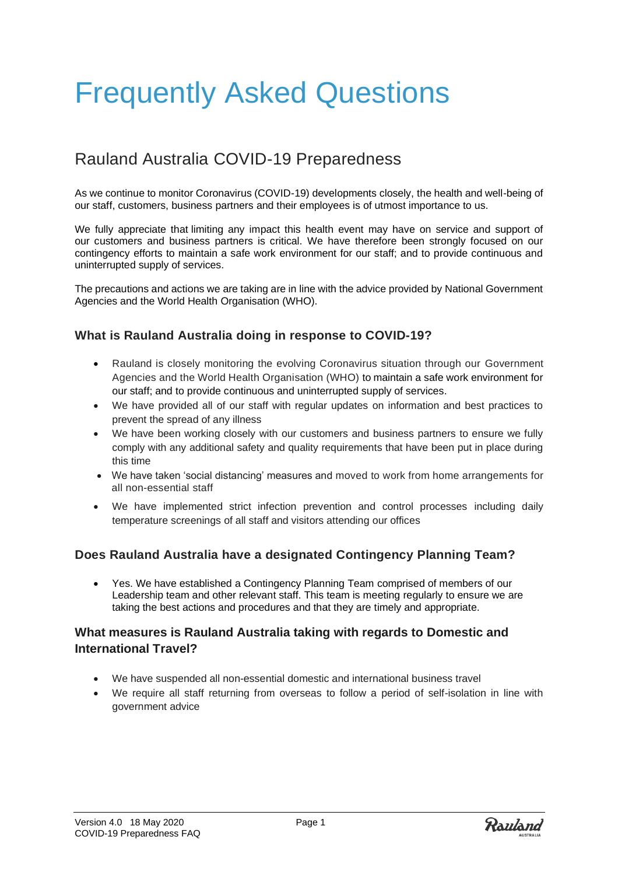# Frequently Asked Questions

# Rauland Australia COVID-19 Preparedness

As we continue to monitor Coronavirus (COVID-19) developments closely, the health and well-being of our staff, customers, business partners and their employees is of utmost importance to us.

We fully appreciate that limiting any impact this health event may have on service and support of our customers and business partners is critical. We have therefore been strongly focused on our contingency efforts to maintain a safe work environment for our staff; and to provide continuous and uninterrupted supply of services.

The precautions and actions we are taking are in line with the advice provided by National Government Agencies and the World Health Organisation (WHO).

### **What is Rauland Australia doing in response to COVID-19?**

- Rauland is closely monitoring the evolving Coronavirus situation through our Government Agencies and the World Health Organisation (WHO) to maintain a safe work environment for our staff; and to provide continuous and uninterrupted supply of services.
- We have provided all of our staff with regular updates on information and best practices to prevent the spread of any illness
- We have been working closely with our customers and business partners to ensure we fully comply with any additional safety and quality requirements that have been put in place during this time
- We have taken 'social distancing' measures and moved to work from home arrangements for all non-essential staff
- We have implemented strict infection prevention and control processes including daily temperature screenings of all staff and visitors attending our offices

### **Does Rauland Australia have a designated Contingency Planning Team?**

• Yes. We have established a Contingency Planning Team comprised of members of our Leadership team and other relevant staff. This team is meeting regularly to ensure we are taking the best actions and procedures and that they are timely and appropriate.

## **What measures is Rauland Australia taking with regards to Domestic and International Travel?**

- We have suspended all non-essential domestic and international business travel
- We require all staff returning from overseas to follow a period of self-isolation in line with government advice